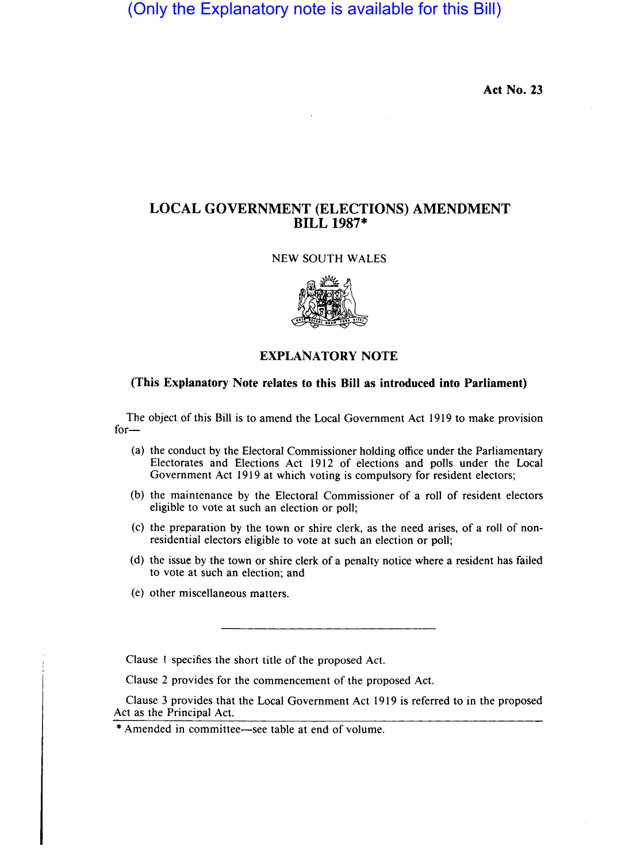(Only the Explanatory note is available for this Bill)

**Act No. 23** 

# **LOCAL GOVERNMENT (ELECTIONS) AMENDMENT BILL 1987\***

## NEW SOUTH WALES



### **EXPLANATORY NOTE**

### **(This Explanatory Note relates to this Bill as introduced into Parliament)**

The object of this Bill is to amend the Local Government Act 1919 to make provision for-

- (a) the conduct by the Electoral Commissioner holding office under the Parliamentary Electorates and Elections Act 1912 of elections and polls under the Local Government Act 1919 at which voting is compulsory for resident electors;
- (b) the maintenance by the Electoral Commissioner of a roll of resident electors eligible to vote at such an election or poll;
- (c) the preparation by the town or shire clerk, as the need arises, of a roll of nonresidential electors eligible to vote at such an election or poll;
- (d) the issue by the town or shire clerk of a penalty notice where a resident has failed to vote at such an election; and
- (e) other miscellaneous matters.

Clause I specifies the short title of the proposed Act.

Clause 2 provides for the commencement of the proposed Act.

Clause 3 provides that the Local Government Act 1919 is referred to in the proposed Act as the Principal Act.

<sup>\*</sup> Amended in committee-see table at end of volume.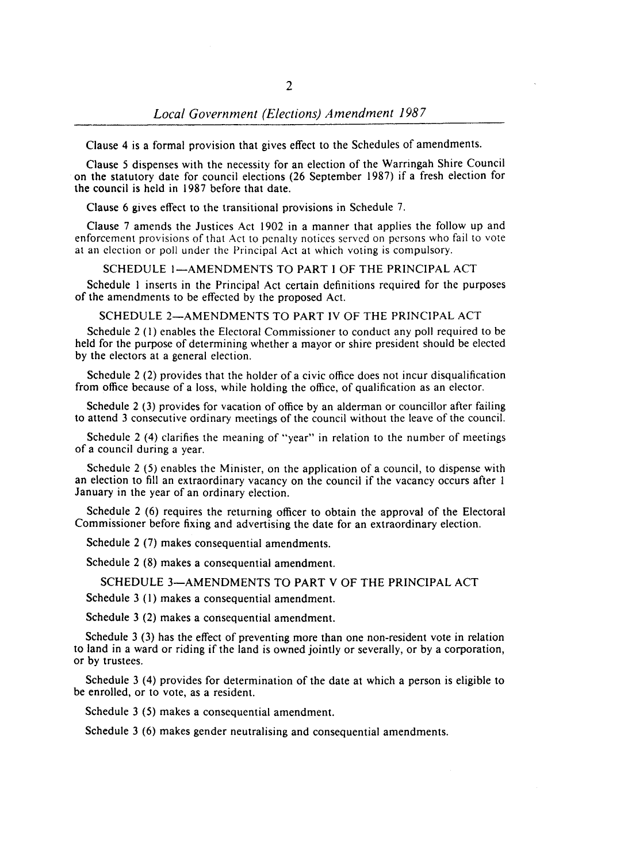Clause 4 is a formal provision that gives effect to the Schedules of amendments.

Clause 5 dispenses with the necessity for an election of the Warringah Shire Council on the statutory date for council elections (26 September 1987) if a fresh election for the council is held in 1987 before that date.

Clause 6 gives effect to the transitional provisions in Schedule 7.

Clause 7 amends the Justices Act 1902 in a manner that applies the follow up and enforcement provisions of that Act to penalty notices served on persons who fail to vote at an election or poll under the Principal Act at which voting is compulsory.

SCHEDULE 1-AMENDMENTS TO PART I OF THE PRINCIPAL ACT

Schedule I inserts in the Principal Act certain definitions required for the purposes of the amendments to be effected by the proposed Act.

SCHEDULE 2-AMENDMENTS TO PART IV OF THE PRINCIPAL ACT

Schedule 2 (I) enables the Electoral Commissioner to conduct any poll required to be held for the purpose of determining whether a mayor or shire president should be elected by the electors at a general election.

Schedule 2 (2) provides that the holder of a civic office does not incur disqualification from office because of a loss, while holding the office, of qualification as an elector.

Schedule 2 (3) provides for vacation of office by an alderman or councillor after failing to attend 3 consecutive ordinary meetings of the council without the leave of the council.

Schedule 2 (4) clarifies the meaning of "year" in relation to the number of meetings of a council during a year.

Schedule 2 (5) enables the Minister, on the application of a council, to dispense with an election to fill an extraordinary vacancy on the council if the vacancy occurs after I January in the year of an ordinary election.

Schedule 2 (6) requires the returning officer to obtain the approval of the Electoral Commissioner before fixing and advertising the date for an extraordinary election.

Schedule 2 (7) makes consequential amendments.

Schedule 2 (8) makes a consequential amendment.

SCHEDULE 3-AMENDMENTS TO PART V OF THE PRINCIPAL ACT

Schedule 3 (I) makes a consequential amendment.

Schedule 3 (2) makes a consequential amendment.

Schedule 3 (3) has the effect of preventing more than one non-resident vote in relation to land in a ward or riding if the land is owned jointly or severally, or by a corporation, or by trustees.

Schedule 3 (4) provides for determination of the date at which a person is eligible to be enrolled, or to vote, as a resident.

Schedule 3 (5) makes a consequential amendment.

Schedule 3 (6) makes gender neutralising and consequential amendments.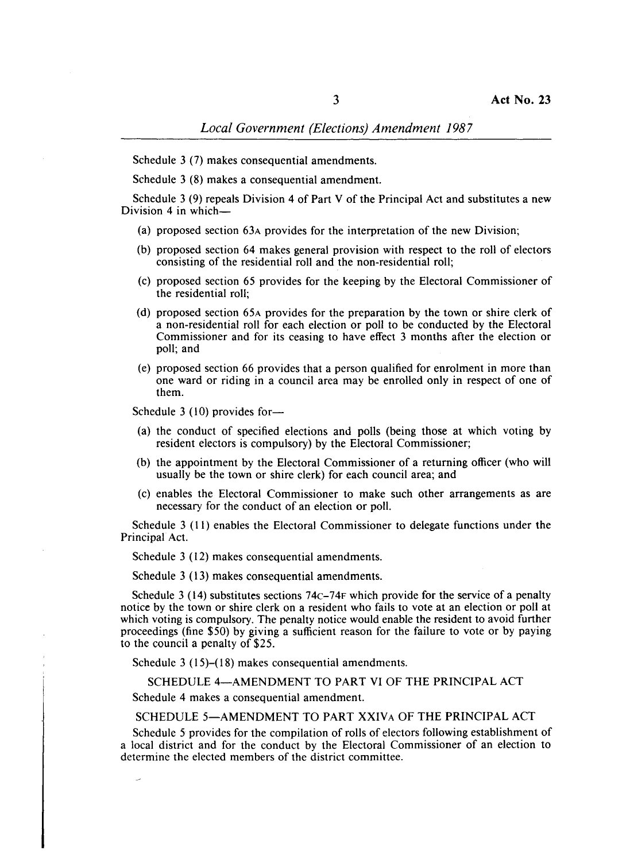Schedule 3 (7) makes consequential amendments.

Schedule 3 (8) makes a consequential amendment.

Schedule 3 (9) repeals Division 4 of Part V of the Principal Act and substitutes a new Division 4 in which-

- (a) proposed section 63A provides for the interpretation of the new Division;
- (b) proposed section 64 makes general provision with respect to the roll of electors consisting of the residential roll and the non-residential roll;
- (c) proposed section 65 provides for the keeping by the Electoral Commissioner of the residential roll;
- (d) proposed section 65A provides for the preparation by the town or shire clerk of a non-residential roll for each election or poll to be conducted by the Electoral Commissioner and for its ceasing to have effect 3 months after the election or poll; and
- (e) proposed section 66 provides that a person qualified for enrolment in more than one ward or riding in a council area may be enrolled only in respect of one of them.

Schedule 3 (10) provides for-

- (a) the conduct of specified elections and polls (being those at which voting by resident electors is compulsory) by the Electoral Commissioner;
- (b) the appointment by the Electoral Commissioner of a returning officer (who will usually be the town or shire clerk) for each council area; and
- (c) enables the Electoral Commissioner to make such other arrangements as are necessary for the conduct of an election or poll.

Schedule 3 (11) enables the Electoral Commissioner to delegate functions under the Principal Act.

Schedule 3 (12) makes consequential amendments.

Schedule 3 (13) makes consequential amendments.

Schedule 3 (14) substitutes sections  $74C-74F$  which provide for the service of a penalty notice by the town or shire clerk on a resident who fails to vote at an election or poll at which voting is compulsory. The penalty notice would enable the resident to avoid further proceedings (fine \$50) by giving a sufficient reason for the failure to vote or by paying to the council a penalty of \$25.

Schedule 3 (15)–(18) makes consequential amendments.

SCHEDULE 4-AMENDMENT TO PART VI OF THE PRINCIPAL ACT

Schedule 4 makes a consequential amendment.

#### SCHEDULE 5-AMENDMENT TO PART XXIVA OF THE PRINCIPAL ACT

Schedule 5 provides for the compilation of rolls of electors following establishment of a local district and for the conduct by the Electoral Commissioner of an election to determine the elected members of the district committee.